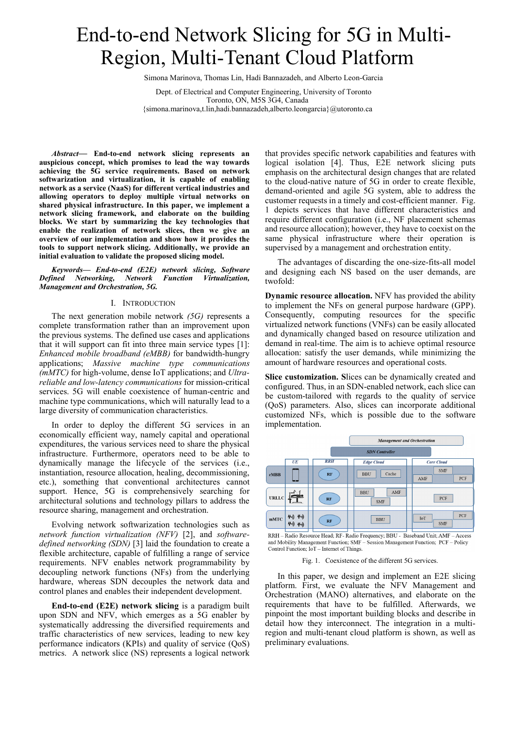# End-to-end Network Slicing for 5G in Multi-Region, Multi-Tenant Cloud Platform

Simona Marinova, Thomas Lin, Hadi Bannazadeh, and Alberto Leon-Garcia

Dept. of Electrical and Computer Engineering, University of Toronto Toronto, ON, M5S 3G4, Canada {simona.marinova,t.lin,hadi.bannazadeh,alberto.leongarcia}@utoronto.ca

*Abstract***— End-to-end network slicing represents an auspicious concept, which promises to lead the way towards achieving the 5G service requirements. Based on network softwarization and virtualization, it is capable of enabling network as a service (NaaS) for different vertical industries and allowing operators to deploy multiple virtual networks on shared physical infrastructure. In this paper, we implement a network slicing framework, and elaborate on the building blocks. We start by summarizing the key technologies that enable the realization of network slices, then we give an overview of our implementation and show how it provides the tools to support network slicing. Additionally, we provide an initial evaluation to validate the proposed slicing model.**

*Keywords— End-to-end (E2E) network slicing, Software Defined Networking, Network Function Virtualization, Management and Orchestration, 5G.*

#### I. INTRODUCTION

The next generation mobile network *(5G)* represents a complete transformation rather than an improvement upon the previous systems. The defined use cases and applications that it will support can fit into three main service types [1]: *Enhanced mobile broadband (eMBB)* for bandwidth-hungry applications; *Massive machine type communications (mMTC)* for high-volume, dense IoT applications; and *Ultrareliable and low-latency communications* for mission-critical services. 5G will enable coexistence of human-centric and machine type communications, which will naturally lead to a large diversity of communication characteristics.

In order to deploy the different 5G services in an economically efficient way, namely capital and operational expenditures, the various services need to share the physical infrastructure. Furthermore, operators need to be able to dynamically manage the lifecycle of the services (i.e., instantiation, resource allocation, healing, decommissioning, etc.), something that conventional architectures cannot support. Hence, 5G is comprehensively searching for architectural solutions and technology pillars to address the resource sharing, management and orchestration.

Evolving network softwarization technologies such as *network function virtualization (NFV)* [2], and *softwaredefined networking (SDN)* [3] laid the foundation to create a flexible architecture, capable of fulfilling a range of service requirements. NFV enables network programmability by decoupling network functions (NFs) from the underlying hardware, whereas SDN decouples the network data and control planes and enables their independent development.

**End-to-end (E2E) network slicing** is a paradigm built upon SDN and NFV, which emerges as a 5G enabler by systematically addressing the diversified requirements and traffic characteristics of new services, leading to new key performance indicators (KPIs) and quality of service (QoS) metrics. A network slice (NS) represents a logical network

that provides specific network capabilities and features with logical isolation [4]. Thus, E2E network slicing puts emphasis on the architectural design changes that are related to the cloud-native nature of 5G in order to create flexible, demand-oriented and agile 5G system, able to address the customer requests in a timely and cost-efficient manner. Fig. 1 depicts services that have different characteristics and require different configuration (i.e., NF placement schemas and resource allocation); however, they have to coexist on the same physical infrastructure where their operation is supervised by a management and orchestration entity.

The advantages of discarding the one-size-fits-all model and designing each NS based on the user demands, are twofold:

**Dynamic resource allocation.** NFV has provided the ability to implement the NFs on general purpose hardware (GPP). Consequently, computing resources for the specific virtualized network functions (VNFs) can be easily allocated and dynamically changed based on resource utilization and demand in real-time. The aim is to achieve optimal resource allocation: satisfy the user demands, while minimizing the amount of hardware resources and operational costs.

**Slice customization. S**lices can be dynamically created and configured. Thus, in an SDN-enabled network, each slice can be custom-tailored with regards to the quality of service (QoS) parameters. Also, slices can incorporate additional customized NFs, which is possible due to the software implementation.



RRH – Radio Resource Head; RF- Radio Frequency; BBU - Baseband Unit; AMF – Access and Mobility Management Function; SMF - Session Management Function; PCF - Policy Control Function; IoT - Internet of Things.

## Fig. 1. Coexistence of the different 5G services.

In this paper, we design and implement an E2E slicing platform. First, we evaluate the NFV Management and Orchestration (MANO) alternatives, and elaborate on the requirements that have to be fulfilled. Afterwards, we pinpoint the most important building blocks and describe in detail how they interconnect. The integration in a multiregion and multi-tenant cloud platform is shown, as well as preliminary evaluations.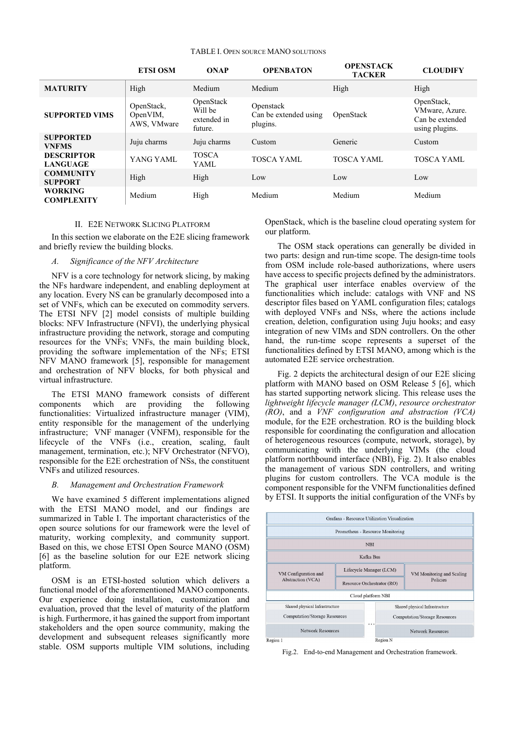## TABLE I. OPEN SOURCE MANO SOLUTIONS

|                                      | <b>ETSI OSM</b>                       | <b>ONAP</b>                                    | <b>OPENBATON</b>                               | <b>OPENSTACK</b><br><b>TACKER</b> | <b>CLOUDIFY</b>                                                   |
|--------------------------------------|---------------------------------------|------------------------------------------------|------------------------------------------------|-----------------------------------|-------------------------------------------------------------------|
| <b>MATURITY</b>                      | High                                  | Medium                                         | Medium                                         | High                              | High                                                              |
| <b>SUPPORTED VIMS</b>                | OpenStack,<br>OpenVIM,<br>AWS, VMware | OpenStack<br>Will be<br>extended in<br>future. | Openstack<br>Can be extended using<br>plugins. | OpenStack                         | OpenStack,<br>VMware, Azure.<br>Can be extended<br>using plugins. |
| <b>SUPPORTED</b><br><b>VNFMS</b>     | Juju charms                           | Juju charms                                    | Custom                                         | Generic                           | Custom                                                            |
| <b>DESCRIPTOR</b><br><b>LANGUAGE</b> | YANG YAML                             | <b>TOSCA</b><br>YAML                           | <b>TOSCA YAML</b>                              | TOSCA YAML                        | <b>TOSCA YAML</b>                                                 |
| <b>COMMUNITY</b><br><b>SUPPORT</b>   | High                                  | High                                           | Low                                            | Low                               | Low                                                               |
| <b>WORKING</b><br><b>COMPLEXITY</b>  | Medium                                | High                                           | Medium                                         | Medium                            | Medium                                                            |

#### II. E2E NETWORK SLICING PLATFORM

In this section we elaborate on the E2E slicing framework and briefly review the building blocks.

## *A. Significance of the NFV Architecture*

NFV is a core technology for network slicing, by making the NFs hardware independent, and enabling deployment at any location. Every NS can be granularly decomposed into a set of VNFs, which can be executed on commodity servers. The ETSI NFV [2] model consists of multiple building blocks: NFV Infrastructure (NFVI), the underlying physical infrastructure providing the network, storage and computing resources for the VNFs; VNFs, the main building block, providing the software implementation of the NFs; ETSI NFV MANO framework [5], responsible for management and orchestration of NFV blocks, for both physical and virtual infrastructure.

The ETSI MANO framework consists of different components which are providing the following functionalities: Virtualized infrastructure manager (VIM), entity responsible for the management of the underlying infrastructure; VNF manager (VNFM), responsible for the lifecycle of the VNFs (i.e., creation, scaling, fault management, termination, etc.); NFV Orchestrator (NFVO), responsible for the E2E orchestration of NSs, the constituent VNFs and utilized resources.

#### *B. Management and Orchestration Framework*

We have examined 5 different implementations aligned with the ETSI MANO model, and our findings are summarized in Table I. The important characteristics of the open source solutions for our framework were the level of maturity, working complexity, and community support. Based on this, we chose ETSI Open Source MANO (OSM) [6] as the baseline solution for our E2E network slicing platform.

OSM is an ETSI-hosted solution which delivers a functional model of the aforementioned MANO components. Our experience doing installation, customization and evaluation, proved that the level of maturity of the platform is high. Furthermore, it has gained the support from important stakeholders and the open source community, making the development and subsequent releases significantly more stable. OSM supports multiple VIM solutions, including

OpenStack, which is the baseline cloud operating system for our platform.

The OSM stack operations can generally be divided in two parts: design and run-time scope. The design-time tools from OSM include role-based authorizations, where users have access to specific projects defined by the administrators. The graphical user interface enables overview of the functionalities which include: catalogs with VNF and NS descriptor files based on YAML configuration files; catalogs with deployed VNFs and NSs, where the actions include creation, deletion, configuration using Juju hooks; and easy integration of new VIMs and SDN controllers. On the other hand, the run-time scope represents a superset of the functionalities defined by ETSI MANO, among which is the automated E2E service orchestration.

Fig. 2 depicts the architectural design of our E2E slicing platform with MANO based on OSM Release 5 [6], which has started supporting network slicing. This release uses the *lightweight lifecycle manager (LCM)*, *resource orchestrator (RO)*, and a *VNF configuration and abstraction (VCA)* module, for the E2E orchestration. RO is the building block responsible for coordinating the configuration and allocation of heterogeneous resources (compute, network, storage), by communicating with the underlying VIMs (the cloud platform northbound interface (NBI), Fig. 2). It also enables the management of various SDN controllers, and writing plugins for custom controllers. The VCA module is the component responsible for the VNFM functionalities defined by ETSI. It supports the initial configuration of the VNFs by



Fig.2. End-to-end Management and Orchestration framework.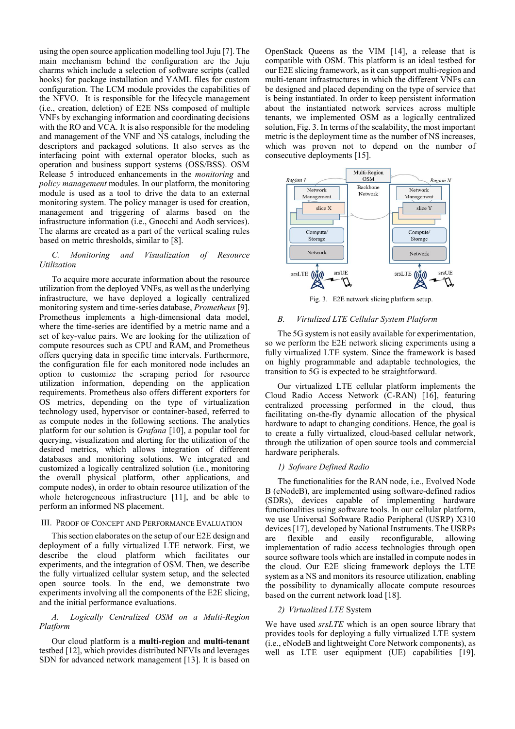using the open source application modelling tool Juju [7]. The main mechanism behind the configuration are the Juju charms which include a selection of software scripts (called hooks) for package installation and YAML files for custom configuration. The LCM module provides the capabilities of the NFVO. It is responsible for the lifecycle management (i.e., creation, deletion) of E2E NSs composed of multiple VNFs by exchanging information and coordinating decisions with the RO and VCA. It is also responsible for the modeling and management of the VNF and NS catalogs, including the descriptors and packaged solutions. It also serves as the interfacing point with external operator blocks, such as operation and business support systems (OSS/BSS). OSM Release 5 introduced enhancements in the *monitoring* and *policy management* modules. In our platform, the monitoring module is used as a tool to drive the data to an external monitoring system. The policy manager is used for creation, management and triggering of alarms based on the infrastructure information (i.e., Gnocchi and Aodh services). The alarms are created as a part of the vertical scaling rules based on metric thresholds, similar to [8].

# *C. Monitoring and Visualization of Resource Utilization*

To acquire more accurate information about the resource utilization from the deployed VNFs, as well as the underlying infrastructure, we have deployed a logically centralized monitoring system and time-series database, *Prometheus* [9]. Prometheus implements a high-dimensional data model, where the time-series are identified by a metric name and a set of key-value pairs. We are looking for the utilization of compute resources such as CPU and RAM, and Prometheus offers querying data in specific time intervals. Furthermore, the configuration file for each monitored node includes an option to customize the scraping period for resource utilization information, depending on the application requirements. Prometheus also offers different exporters for OS metrics, depending on the type of virtualization technology used, hypervisor or container-based, referred to as compute nodes in the following sections. The analytics platform for our solution is *Grafana* [10], a popular tool for querying, visualization and alerting for the utilization of the desired metrics, which allows integration of different databases and monitoring solutions. We integrated and customized a logically centralized solution (i.e., monitoring the overall physical platform, other applications, and compute nodes), in order to obtain resource utilization of the whole heterogeneous infrastructure [11], and be able to perform an informed NS placement.

## III. PROOF OF CONCEPT AND PERFORMANCE EVALUATION

This section elaborates on the setup of our E2E design and deployment of a fully virtualized LTE network. First, we describe the cloud platform which facilitates our experiments, and the integration of OSM. Then, we describe the fully virtualized cellular system setup, and the selected open source tools. In the end, we demonstrate two experiments involving all the components of the E2E slicing, and the initial performance evaluations.

# *A. Logically Centralized OSM on a Multi-Region Platform*

Our cloud platform is a **multi-region** and **multi-tenant** testbed [12], which provides distributed NFVIs and leverages SDN for advanced network management [13]. It is based on

OpenStack Queens as the VIM [14], a release that is compatible with OSM. This platform is an ideal testbed for our E2E slicing framework, as it can support multi-region and multi-tenant infrastructures in which the different VNFs can be designed and placed depending on the type of service that is being instantiated. In order to keep persistent information about the instantiated network services across multiple tenants, we implemented OSM as a logically centralized solution, Fig. 3. In terms of the scalability, the most important metric is the deployment time as the number of NS increases, which was proven not to depend on the number of consecutive deployments [15].



Fig. 3. E2E network slicing platform setup.

# *B. Virtulized LTE Cellular System Platform*

The 5G system is not easily available for experimentation, so we perform the E2E network slicing experiments using a fully virtualized LTE system. Since the framework is based on highly programmable and adaptable technologies, the transition to 5G is expected to be straightforward.

Our virtualized LTE cellular platform implements the Cloud Radio Access Network (C-RAN) [16], featuring centralized processing performed in the cloud, thus facilitating on-the-fly dynamic allocation of the physical hardware to adapt to changing conditions. Hence, the goal is to create a fully virtualized, cloud-based cellular network, through the utilization of open source tools and commercial hardware peripherals.

# *1) Sofware Defined Radio*

The functionalities for the RAN node, i.e., Evolved Node B (eNodeB), are implemented using software-defined radios (SDRs), devices capable of implementing hardware functionalities using software tools. In our cellular platform, we use Universal Software Radio Peripheral (USRP) X310 devices [17], developed by National Instruments. The USRPs are flexible and easily reconfigurable, allowing implementation of radio access technologies through open source software tools which are installed in compute nodes in the cloud. Our E2E slicing framework deploys the LTE system as a NS and monitors its resource utilization, enabling the possibility to dynamically allocate compute resources based on the current network load [18].

# *2) Virtualized LTE* System

We have used *srsLTE* which is an open source library that provides tools for deploying a fully virtualized LTE system (i.e., eNodeB and lightweight Core Network components), as well as LTE user equipment (UE) capabilities [19].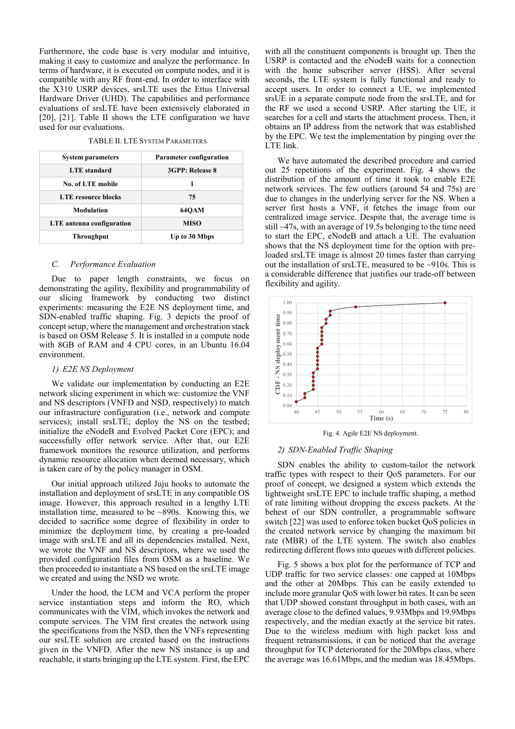Furthermore, the code base is very modular and intuitive, making it easy to customize and analyze the performance. In terms of hardware, it is executed on compute nodes, and it is compatible with any RF front-end. In order to interface with the X310 USRP devices, srsLTE uses the Ettus Universal Hardware Driver (UHD). The capabilities and performance evaluations of srsLTE have been extensively elaborated in [20], [21]. Table II shows the LTE configuration we have used for our evaluations.

TABLE II. LTE SYSTEM PARAMETERS

| <b>System parameters</b>   | <b>Parameter configuration</b> |  |  |
|----------------------------|--------------------------------|--|--|
| <b>LTE</b> standard        | 3GPP: Release 8                |  |  |
| <b>No. of LTE mobile</b>   | 1                              |  |  |
| <b>LTE</b> resource blocks | 75                             |  |  |
| <b>Modulation</b>          | <b>640AM</b>                   |  |  |
| LTE antenna configuration  | MISO                           |  |  |
| Throughput                 | Up to 30 Mbps                  |  |  |

## *C. Performance Evaluation*

Due to paper length constraints, we focus on demonstrating the agility, flexibility and programmability of our slicing framework by conducting two distinct experiments: measuring the E2E NS deployment time, and SDN-enabled traffic shaping. Fig. 3 depicts the proof of concept setup, where the management and orchestration stack is based on OSM Release 5. It is installed in a compute node with 8GB of RAM and 4 CPU cores, in an Ubuntu 16.04 environment.

#### *1) E2E NS Deployment*

We validate our implementation by conducting an E2E network slicing experiment in which we: customize the VNF and NS descriptors (VNFD and NSD, respectively) to match our infrastructure configuration (i.e., network and compute services); install srsLTE; deploy the NS on the testbed; initialize the eNodeB and Evolved Packet Core (EPC); and successfully offer network service. After that, our E2E framework monitors the resource utilization, and performs dynamic resource allocation when deemed necessary, which is taken care of by the policy manager in OSM.

Our initial approach utilized Juju hooks to automate the installation and deployment of srsLTE in any compatible OS image. However, this approach resulted in a lengthy LTE installation time, measured to be  $\sim 890$ s. Knowing this, we decided to sacrifice some degree of flexibility in order to minimize the deployment time, by creating a pre-loaded image with srsLTE and all its dependencies installed. Next, we wrote the VNF and NS descriptors, where we used the provided configuration files from OSM as a baseline. We then proceeded to instantiate a NS based on the srsLTE image we created and using the NSD we wrote.

Under the hood, the LCM and VCA perform the proper service instantiation steps and inform the RO, which communicates with the VIM, which invokes the network and compute services. The VIM first creates the network using the specifications from the NSD, then the VNFs representing our srsLTE solution are created based on the instructions given in the VNFD. After the new NS instance is up and reachable, it starts bringing up the LTE system. First, the EPC

with all the constituent components is brought up. Then the USRP is contacted and the eNodeB waits for a connection with the home subscriber server (HSS). After several seconds, the LTE system is fully functional and ready to accept users. In order to connect a UE, we implemented srsUE in a separate compute node from the srsLTE, and for the RF we used a second USRP. After starting the UE, it searches for a cell and starts the attachment process. Then, it obtains an IP address from the network that was established by the EPC. We test the implementation by pinging over the LTE link.

We have automated the described procedure and carried out 25 repetitions of the experiment. Fig. 4 shows the distribution of the amount of time it took to enable E2E network services. The few outliers (around 54 and 75s) are due to changes in the underlying server for the NS. When a server first hosts a VNF, it fetches the image from our centralized image service. Despite that, the average time is still ~47s, with an average of 19.5s belonging to the time need to start the EPC, eNodeB and attach a UE. The evaluation shows that the NS deployment time for the option with preloaded srsLTE image is almost 20 times faster than carrying out the installation of srsLTE, measured to be ~910s. This is a considerable difference that justifies our trade-off between flexibility and agility.



Fig. 4. Agile E2E NS deployment.

# *2) SDN-Enabled Traffic Shaping*

SDN enables the ability to custom-tailor the network traffic types with respect to their QoS parameters. For our proof of concept, we designed a system which extends the lightweight srsLTE EPC to include traffic shaping, a method of rate limiting without dropping the excess packets. At the behest of our SDN controller, a programmable software switch [22] was used to enforce token bucket QoS policies in the created network service by changing the maximum bit rate (MBR) of the LTE system. The switch also enables redirecting different flows into queues with different policies.

Fig. 5 shows a box plot for the performance of TCP and UDP traffic for two service classes: one capped at 10Mbps and the other at 20Mbps. This can be easily extended to include more granular QoS with lower bit rates. It can be seen that UDP showed constant throughput in both cases, with an average close to the defined values, 9.93Mbps and 19.9Mbps respectively, and the median exactly at the service bit rates. Due to the wireless medium with high packet loss and frequent retransmissions, it can be noticed that the average throughput for TCP deteriorated for the 20Mbps class, where the average was 16.61Mbps, and the median was 18.45Mbps.